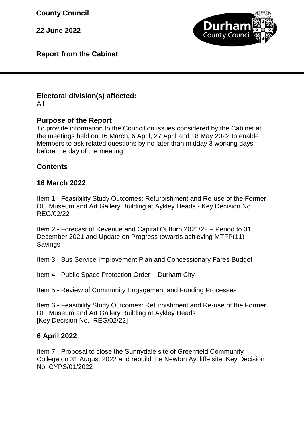**County Council**

**22 June 2022**



**Report from the Cabinet**

## **Electoral division(s) affected:**

All

## **Purpose of the Report**

To provide information to the Council on issues considered by the Cabinet at the meetings held on 16 March, 6 April, 27 April and 18 May 2022 to enable Members to ask related questions by no later than midday 3 working days before the day of the meeting

## **Contents**

### **16 March 2022**

Item 1 - Feasibility Study Outcomes: Refurbishment and Re-use of the Former DLI Museum and Art Gallery Building at Aykley Heads - Key Decision No. REG/02/22

Item 2 - Forecast of Revenue and Capital Outturn 2021/22 – Period to 31 December 2021 and Update on Progress towards achieving MTFP(11) Savings

Item 3 - Bus Service Improvement Plan and Concessionary Fares Budget

Item 4 - Public Space Protection Order – Durham City

Item 5 - Review of Community Engagement and Funding Processes

Item 6 - Feasibility Study Outcomes: Refurbishment and Re-use of the Former DLI Museum and Art Gallery Building at Aykley Heads [Key Decision No. REG/02/22]

### **6 April 2022**

Item 7 - Proposal to close the Sunnydale site of Greenfield Community College on 31 August 2022 and rebuild the Newton Aycliffe site, Key Decision No. CYPS/01/2022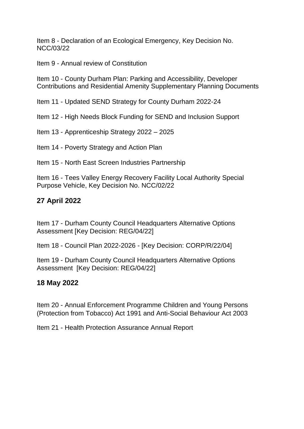Item 8 - Declaration of an Ecological Emergency, Key Decision No. NCC/03/22

Item 9 - Annual review of Constitution

Item 10 - County Durham Plan: Parking and Accessibility, Developer Contributions and Residential Amenity Supplementary Planning Documents

Item 11 - Updated SEND Strategy for County Durham 2022-24

Item 12 - High Needs Block Funding for SEND and Inclusion Support

Item 13 - Apprenticeship Strategy 2022 – 2025

Item 14 - Poverty Strategy and Action Plan

Item 15 - North East Screen Industries Partnership

Item 16 - Tees Valley Energy Recovery Facility Local Authority Special Purpose Vehicle, Key Decision No. NCC/02/22

## **27 April 2022**

Item 17 - Durham County Council Headquarters Alternative Options Assessment [Key Decision: REG/04/22]

Item 18 - Council Plan 2022-2026 - [Key Decision: CORP/R/22/04]

Item 19 - Durham County Council Headquarters Alternative Options Assessment [Key Decision: REG/04/22]

### **18 May 2022**

Item 20 - Annual Enforcement Programme Children and Young Persons (Protection from Tobacco) Act 1991 and Anti-Social Behaviour Act 2003

Item 21 - Health Protection Assurance Annual Report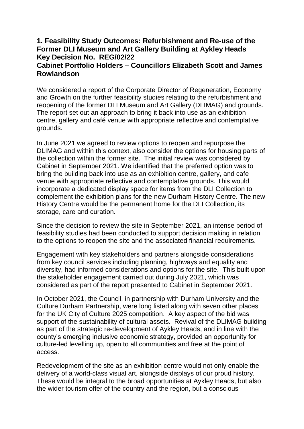## **1. Feasibility Study Outcomes: Refurbishment and Re-use of the Former DLI Museum and Art Gallery Building at Aykley Heads Key Decision No. REG/02/22**

### **Cabinet Portfolio Holders – Councillors Elizabeth Scott and James Rowlandson**

We considered a report of the Corporate Director of Regeneration, Economy and Growth on the further feasibility studies relating to the refurbishment and reopening of the former DLI Museum and Art Gallery (DLIMAG) and grounds. The report set out an approach to bring it back into use as an exhibition centre, gallery and café venue with appropriate reflective and contemplative grounds.

In June 2021 we agreed to review options to reopen and repurpose the DLIMAG and within this context, also consider the options for housing parts of the collection within the former site. The initial review was considered by Cabinet in September 2021. We identified that the preferred option was to bring the building back into use as an exhibition centre, gallery, and cafe venue with appropriate reflective and contemplative grounds. This would incorporate a dedicated display space for items from the DLI Collection to complement the exhibition plans for the new Durham History Centre. The new History Centre would be the permanent home for the DLI Collection, its storage, care and curation.

Since the decision to review the site in September 2021, an intense period of feasibility studies had been conducted to support decision making in relation to the options to reopen the site and the associated financial requirements.

Engagement with key stakeholders and partners alongside considerations from key council services including planning, highways and equality and diversity, had informed considerations and options for the site. This built upon the stakeholder engagement carried out during July 2021, which was considered as part of the report presented to Cabinet in September 2021.

In October 2021, the Council, in partnership with Durham University and the Culture Durham Partnership, were long listed along with seven other places for the UK City of Culture 2025 competition. A key aspect of the bid was support of the sustainability of cultural assets. Revival of the DLIMAG building as part of the strategic re-development of Aykley Heads, and in line with the county's emerging inclusive economic strategy, provided an opportunity for culture-led levelling up, open to all communities and free at the point of access.

Redevelopment of the site as an exhibition centre would not only enable the delivery of a world-class visual art, alongside displays of our proud history. These would be integral to the broad opportunities at Aykley Heads, but also the wider tourism offer of the country and the region, but a conscious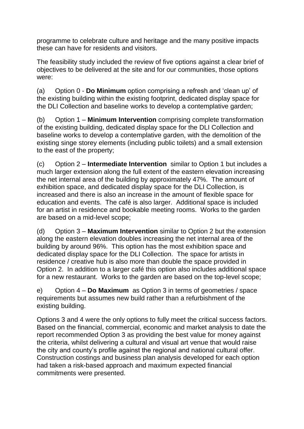programme to celebrate culture and heritage and the many positive impacts these can have for residents and visitors.

The feasibility study included the review of five options against a clear brief of objectives to be delivered at the site and for our communities, those options were:

(a) Option 0 - **Do Minimum** option comprising a refresh and 'clean up' of the existing building within the existing footprint, dedicated display space for the DLI Collection and baseline works to develop a contemplative garden;

(b) Option 1 – **Minimum Intervention** comprising complete transformation of the existing building, dedicated display space for the DLI Collection and baseline works to develop a contemplative garden, with the demolition of the existing singe storey elements (including public toilets) and a small extension to the east of the property;

(c) Option 2 – **Intermediate Intervention** similar to Option 1 but includes a much larger extension along the full extent of the eastern elevation increasing the net internal area of the building by approximately 47%. The amount of exhibition space, and dedicated display space for the DLI Collection, is increased and there is also an increase in the amount of flexible space for education and events. The café is also larger. Additional space is included for an artist in residence and bookable meeting rooms. Works to the garden are based on a mid-level scope;

(d) Option 3 – **Maximum Intervention** similar to Option 2 but the extension along the eastern elevation doubles increasing the net internal area of the building by around 96%. This option has the most exhibition space and dedicated display space for the DLI Collection. The space for artists in residence / creative hub is also more than double the space provided in Option 2. In addition to a larger café this option also includes additional space for a new restaurant. Works to the garden are based on the top-level scope;

e) Option 4 – **Do Maximum** as Option 3 in terms of geometries / space requirements but assumes new build rather than a refurbishment of the existing building.

Options 3 and 4 were the only options to fully meet the critical success factors. Based on the financial, commercial, economic and market analysis to date the report recommended Option 3 as providing the best value for money against the criteria, whilst delivering a cultural and visual art venue that would raise the city and county's profile against the regional and national cultural offer. Construction costings and business plan analysis developed for each option had taken a risk-based approach and maximum expected financial commitments were presented.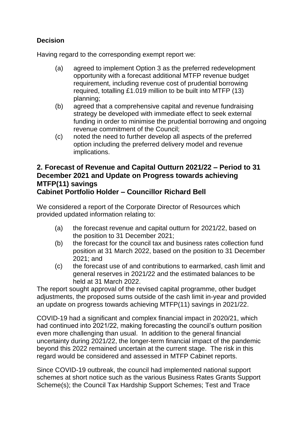## **Decision**

Having regard to the corresponding exempt report we:

- (a) agreed to implement Option 3 as the preferred redevelopment opportunity with a forecast additional MTFP revenue budget requirement, including revenue cost of prudential borrowing required, totalling £1.019 million to be built into MTFP (13) planning;
- (b) agreed that a comprehensive capital and revenue fundraising strategy be developed with immediate effect to seek external funding in order to minimise the prudential borrowing and ongoing revenue commitment of the Council;
- (c) noted the need to further develop all aspects of the preferred option including the preferred delivery model and revenue implications.

# **2. Forecast of Revenue and Capital Outturn 2021/22 – Period to 31 December 2021 and Update on Progress towards achieving MTFP(11) savings**

## **Cabinet Portfolio Holder – Councillor Richard Bell**

We considered a report of the Corporate Director of Resources which provided updated information relating to:

- (a) the forecast revenue and capital outturn for 2021/22, based on the position to 31 December 2021;
- (b) the forecast for the council tax and business rates collection fund position at 31 March 2022, based on the position to 31 December 2021; and
- (c) the forecast use of and contributions to earmarked, cash limit and general reserves in 2021/22 and the estimated balances to be held at 31 March 2022.

The report sought approval of the revised capital programme, other budget adjustments, the proposed sums outside of the cash limit in-year and provided an update on progress towards achieving MTFP(11) savings in 2021/22.

COVID-19 had a significant and complex financial impact in 2020/21, which had continued into 2021/22, making forecasting the council's outturn position even more challenging than usual. In addition to the general financial uncertainty during 2021/22, the longer-term financial impact of the pandemic beyond this 2022 remained uncertain at the current stage. The risk in this regard would be considered and assessed in MTFP Cabinet reports.

Since COVID-19 outbreak, the council had implemented national support schemes at short notice such as the various Business Rates Grants Support Scheme(s); the Council Tax Hardship Support Schemes; Test and Trace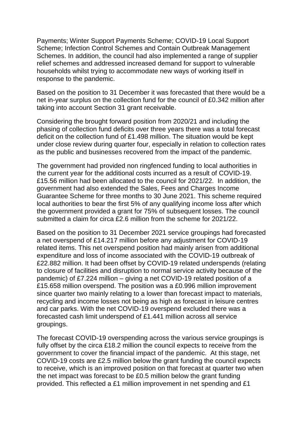Payments; Winter Support Payments Scheme; COVID-19 Local Support Scheme; Infection Control Schemes and Contain Outbreak Management Schemes. In addition, the council had also implemented a range of supplier relief schemes and addressed increased demand for support to vulnerable households whilst trying to accommodate new ways of working itself in response to the pandemic.

Based on the position to 31 December it was forecasted that there would be a net in-year surplus on the collection fund for the council of £0.342 million after taking into account Section 31 grant receivable.

Considering the brought forward position from 2020/21 and including the phasing of collection fund deficits over three years there was a total forecast deficit on the collection fund of £1.498 million. The situation would be kept under close review during quarter four, especially in relation to collection rates as the public and businesses recovered from the impact of the pandemic.

The government had provided non ringfenced funding to local authorities in the current year for the additional costs incurred as a result of COVID-19. £15.56 million had been allocated to the council for 2021/22. In addition, the government had also extended the Sales, Fees and Charges Income Guarantee Scheme for three months to 30 June 2021. This scheme required local authorities to bear the first 5% of any qualifying income loss after which the government provided a grant for 75% of subsequent losses. The council submitted a claim for circa £2.6 million from the scheme for 2021/22.

Based on the position to 31 December 2021 service groupings had forecasted a net overspend of £14.217 million before any adjustment for COVID-19 related items. This net overspend position had mainly arisen from additional expenditure and loss of income associated with the COVID-19 outbreak of £22.882 million. It had been offset by COVID-19 related underspends (relating to closure of facilities and disruption to normal service activity because of the pandemic) of £7.224 million – giving a net COVID-19 related position of a £15.658 million overspend. The position was a £0.996 million improvement since quarter two mainly relating to a lower than forecast impact to materials, recycling and income losses not being as high as forecast in leisure centres and car parks. With the net COVID-19 overspend excluded there was a forecasted cash limit underspend of £1.441 million across all service groupings.

The forecast COVID-19 overspending across the various service groupings is fully offset by the circa £18.2 million the council expects to receive from the government to cover the financial impact of the pandemic. At this stage, net COVID-19 costs are £2.5 million below the grant funding the council expects to receive, which is an improved position on that forecast at quarter two when the net impact was forecast to be £0.5 million below the grant funding provided. This reflected a £1 million improvement in net spending and £1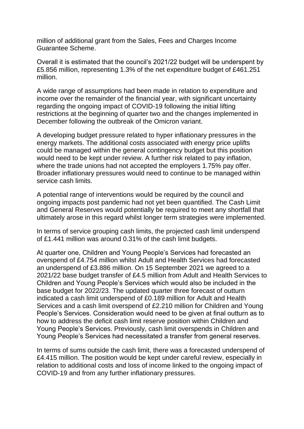million of additional grant from the Sales, Fees and Charges Income Guarantee Scheme.

Overall it is estimated that the council's 2021/22 budget will be underspent by £5.856 million, representing 1.3% of the net expenditure budget of £461.251 million.

A wide range of assumptions had been made in relation to expenditure and income over the remainder of the financial year, with significant uncertainty regarding the ongoing impact of COVID-19 following the initial lifting restrictions at the beginning of quarter two and the changes implemented in December following the outbreak of the Omicron variant.

A developing budget pressure related to hyper inflationary pressures in the energy markets. The additional costs associated with energy price uplifts could be managed within the general contingency budget but this position would need to be kept under review. A further risk related to pay inflation, where the trade unions had not accepted the employers 1.75% pay offer. Broader inflationary pressures would need to continue to be managed within service cash limits.

A potential range of interventions would be required by the council and ongoing impacts post pandemic had not yet been quantified. The Cash Limit and General Reserves would potentially be required to meet any shortfall that ultimately arose in this regard whilst longer term strategies were implemented.

In terms of service grouping cash limits, the projected cash limit underspend of £1.441 million was around 0.31% of the cash limit budgets.

At quarter one, Children and Young People's Services had forecasted an overspend of £4.754 million whilst Adult and Health Services had forecasted an underspend of £3.886 million. On 15 September 2021 we agreed to a 2021/22 base budget transfer of £4.5 million from Adult and Health Services to Children and Young People's Services which would also be included in the base budget for 2022/23. The updated quarter three forecast of outturn indicated a cash limit underspend of £0.189 million for Adult and Health Services and a cash limit overspend of £2.210 million for Children and Young People's Services. Consideration would need to be given at final outturn as to how to address the deficit cash limit reserve position within Children and Young People's Services. Previously, cash limit overspends in Children and Young People's Services had necessitated a transfer from general reserves.

In terms of sums outside the cash limit, there was a forecasted underspend of £4.415 million. The position would be kept under careful review, especially in relation to additional costs and loss of income linked to the ongoing impact of COVID-19 and from any further inflationary pressures.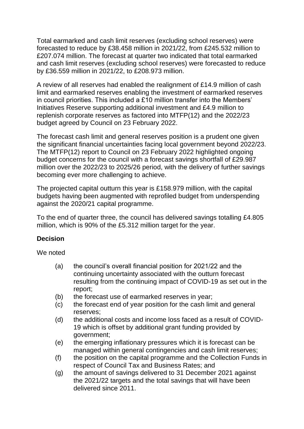Total earmarked and cash limit reserves (excluding school reserves) were forecasted to reduce by £38.458 million in 2021/22, from £245.532 million to £207.074 million. The forecast at quarter two indicated that total earmarked and cash limit reserves (excluding school reserves) were forecasted to reduce by £36.559 million in 2021/22, to £208.973 million.

A review of all reserves had enabled the realignment of £14.9 million of cash limit and earmarked reserves enabling the investment of earmarked reserves in council priorities. This included a £10 million transfer into the Members' Initiatives Reserve supporting additional investment and £4.9 million to replenish corporate reserves as factored into MTFP(12) and the 2022/23 budget agreed by Council on 23 February 2022.

The forecast cash limit and general reserves position is a prudent one given the significant financial uncertainties facing local government beyond 2022/23. The MTFP(12) report to Council on 23 February 2022 highlighted ongoing budget concerns for the council with a forecast savings shortfall of £29.987 million over the 2022/23 to 2025/26 period, with the delivery of further savings becoming ever more challenging to achieve.

The projected capital outturn this year is £158.979 million, with the capital budgets having been augmented with reprofiled budget from underspending against the 2020/21 capital programme.

To the end of quarter three, the council has delivered savings totalling £4.805 million, which is 90% of the £5.312 million target for the year.

#### **Decision**

We noted

- (a) the council's overall financial position for 2021/22 and the continuing uncertainty associated with the outturn forecast resulting from the continuing impact of COVID-19 as set out in the report;
- (b) the forecast use of earmarked reserves in year;
- (c) the forecast end of year position for the cash limit and general reserves;
- (d) the additional costs and income loss faced as a result of COVID-19 which is offset by additional grant funding provided by government;
- (e) the emerging inflationary pressures which it is forecast can be managed within general contingencies and cash limit reserves;
- (f) the position on the capital programme and the Collection Funds in respect of Council Tax and Business Rates; and
- (g) the amount of savings delivered to 31 December 2021 against the 2021/22 targets and the total savings that will have been delivered since 2011.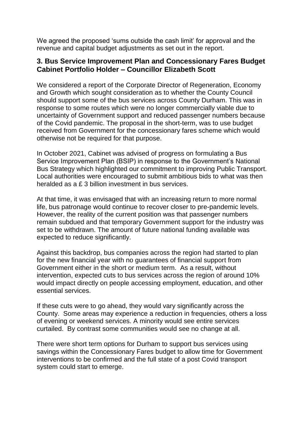We agreed the proposed 'sums outside the cash limit' for approval and the revenue and capital budget adjustments as set out in the report.

### **3. Bus Service Improvement Plan and Concessionary Fares Budget Cabinet Portfolio Holder – Councillor Elizabeth Scott**

We considered a report of the Corporate Director of Regeneration, Economy and Growth which sought consideration as to whether the County Council should support some of the bus services across County Durham. This was in response to some routes which were no longer commercially viable due to uncertainty of Government support and reduced passenger numbers because of the Covid pandemic. The proposal in the short-term, was to use budget received from Government for the concessionary fares scheme which would otherwise not be required for that purpose.

In October 2021, Cabinet was advised of progress on formulating a Bus Service Improvement Plan (BSIP) in response to the Government's National Bus Strategy which highlighted our commitment to improving Public Transport. Local authorities were encouraged to submit ambitious bids to what was then heralded as a £ 3 billion investment in bus services.

At that time, it was envisaged that with an increasing return to more normal life, bus patronage would continue to recover closer to pre-pandemic levels. However, the reality of the current position was that passenger numbers remain subdued and that temporary Government support for the industry was set to be withdrawn. The amount of future national funding available was expected to reduce significantly.

Against this backdrop, bus companies across the region had started to plan for the new financial year with no guarantees of financial support from Government either in the short or medium term. As a result, without intervention, expected cuts to bus services across the region of around 10% would impact directly on people accessing employment, education, and other essential services.

If these cuts were to go ahead, they would vary significantly across the County. Some areas may experience a reduction in frequencies, others a loss of evening or weekend services. A minority would see entire services curtailed. By contrast some communities would see no change at all.

There were short term options for Durham to support bus services using savings within the Concessionary Fares budget to allow time for Government interventions to be confirmed and the full state of a post Covid transport system could start to emerge.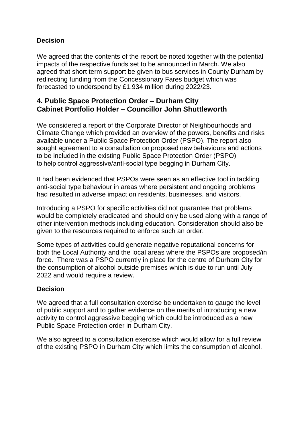### **Decision**

We agreed that the contents of the report be noted together with the potential impacts of the respective funds set to be announced in March. We also agreed that short term support be given to bus services in County Durham by redirecting funding from the Concessionary Fares budget which was forecasted to underspend by £1.934 million during 2022/23.

### **4. Public Space Protection Order – Durham City Cabinet Portfolio Holder – Councillor John Shuttleworth**

We considered a report of the Corporate Director of Neighbourhoods and Climate Change which provided an overview of the powers, benefits and risks available under a Public Space Protection Order (PSPO). The report also sought agreement to a consultation on proposed new behaviours and actions to be included in the existing Public Space Protection Order (PSPO) to help control aggressive/anti-social type begging in Durham City. 

It had been evidenced that PSPOs were seen as an effective tool in tackling anti-social type behaviour in areas where persistent and ongoing problems had resulted in adverse impact on residents, businesses, and visitors.

Introducing a PSPO for specific activities did not guarantee that problems would be completely eradicated and should only be used along with a range of other intervention methods including education. Consideration should also be given to the resources required to enforce such an order.

Some types of activities could generate negative reputational concerns for both the Local Authority and the local areas where the PSPOs are proposed/in force. There was a PSPO currently in place for the centre of Durham City for the consumption of alcohol outside premises which is due to run until July 2022 and would require a review.

#### **Decision**

We agreed that a full consultation exercise be undertaken to gauge the level of public support and to gather evidence on the merits of introducing a new activity to control aggressive begging which could be introduced as a new Public Space Protection order in Durham City.

We also agreed to a consultation exercise which would allow for a full review of the existing PSPO in Durham City which limits the consumption of alcohol.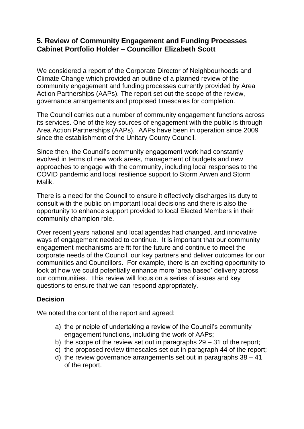### **5. Review of Community Engagement and Funding Processes Cabinet Portfolio Holder – Councillor Elizabeth Scott**

We considered a report of the Corporate Director of Neighbourhoods and Climate Change which provided an outline of a planned review of the community engagement and funding processes currently provided by Area Action Partnerships (AAPs). The report set out the scope of the review, governance arrangements and proposed timescales for completion.

The Council carries out a number of community engagement functions across its services. One of the key sources of engagement with the public is through Area Action Partnerships (AAPs). AAPs have been in operation since 2009 since the establishment of the Unitary County Council.

Since then, the Council's community engagement work had constantly evolved in terms of new work areas, management of budgets and new approaches to engage with the community, including local responses to the COVID pandemic and local resilience support to Storm Arwen and Storm Malik.

There is a need for the Council to ensure it effectively discharges its duty to consult with the public on important local decisions and there is also the opportunity to enhance support provided to local Elected Members in their community champion role.

Over recent years national and local agendas had changed, and innovative ways of engagement needed to continue. It is important that our community engagement mechanisms are fit for the future and continue to meet the corporate needs of the Council, our key partners and deliver outcomes for our communities and Councillors. For example, there is an exciting opportunity to look at how we could potentially enhance more 'area based' delivery across our communities. This review will focus on a series of issues and key questions to ensure that we can respond appropriately.

#### **Decision**

We noted the content of the report and agreed:

- a) the principle of undertaking a review of the Council's community engagement functions, including the work of AAPs;
- b) the scope of the review set out in paragraphs  $29 31$  of the report;
- c) the proposed review timescales set out in paragraph 44 of the report;
- d) the review governance arrangements set out in paragraphs 38 41 of the report.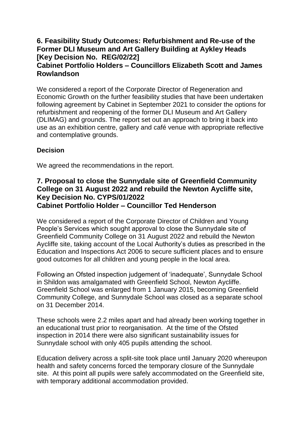## **6. Feasibility Study Outcomes: Refurbishment and Re-use of the Former DLI Museum and Art Gallery Building at Aykley Heads [Key Decision No. REG/02/22]**

#### **Cabinet Portfolio Holders – Councillors Elizabeth Scott and James Rowlandson**

We considered a report of the Corporate Director of Regeneration and Economic Growth on the further feasibility studies that have been undertaken following agreement by Cabinet in September 2021 to consider the options for refurbishment and reopening of the former DLI Museum and Art Gallery (DLIMAG) and grounds. The report set out an approach to bring it back into use as an exhibition centre, gallery and café venue with appropriate reflective and contemplative grounds.

#### **Decision**

We agreed the recommendations in the report.

### **7. Proposal to close the Sunnydale site of Greenfield Community College on 31 August 2022 and rebuild the Newton Aycliffe site, Key Decision No. CYPS/01/2022 Cabinet Portfolio Holder – Councillor Ted Henderson**

We considered a report of the Corporate Director of Children and Young People's Services which sought approval to close the Sunnydale site of Greenfield Community College on 31 August 2022 and rebuild the Newton Aycliffe site, taking account of the Local Authority's duties as prescribed in the Education and Inspections Act 2006 to secure sufficient places and to ensure good outcomes for all children and young people in the local area.

Following an Ofsted inspection judgement of 'inadequate', Sunnydale School in Shildon was amalgamated with Greenfield School, Newton Aycliffe. Greenfield School was enlarged from 1 January 2015, becoming Greenfield Community College, and Sunnydale School was closed as a separate school on 31 December 2014.

These schools were 2.2 miles apart and had already been working together in an educational trust prior to reorganisation. At the time of the Ofsted inspection in 2014 there were also significant sustainability issues for Sunnydale school with only 405 pupils attending the school.

Education delivery across a split-site took place until January 2020 whereupon health and safety concerns forced the temporary closure of the Sunnydale site. At this point all pupils were safely accommodated on the Greenfield site, with temporary additional accommodation provided.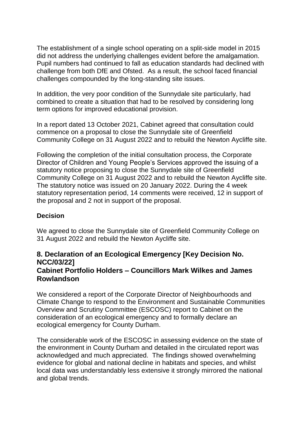The establishment of a single school operating on a split-side model in 2015 did not address the underlying challenges evident before the amalgamation. Pupil numbers had continued to fall as education standards had declined with challenge from both DfE and Ofsted. As a result, the school faced financial challenges compounded by the long-standing site issues.

In addition, the very poor condition of the Sunnydale site particularly, had combined to create a situation that had to be resolved by considering long term options for improved educational provision.

In a report dated 13 October 2021, Cabinet agreed that consultation could commence on a proposal to close the Sunnydale site of Greenfield Community College on 31 August 2022 and to rebuild the Newton Aycliffe site.

Following the completion of the initial consultation process, the Corporate Director of Children and Young People's Services approved the issuing of a statutory notice proposing to close the Sunnydale site of Greenfield Community College on 31 August 2022 and to rebuild the Newton Aycliffe site. The statutory notice was issued on 20 January 2022. During the 4 week statutory representation period, 14 comments were received, 12 in support of the proposal and 2 not in support of the proposal.

#### **Decision**

We agreed to close the Sunnydale site of Greenfield Community College on 31 August 2022 and rebuild the Newton Aycliffe site.

#### **8. Declaration of an Ecological Emergency [Key Decision No. NCC/03/22] Cabinet Portfolio Holders – Councillors Mark Wilkes and James Rowlandson**

We considered a report of the Corporate Director of Neighbourhoods and Climate Change to respond to the Environment and Sustainable Communities Overview and Scrutiny Committee (ESCOSC) report to Cabinet on the consideration of an ecological emergency and to formally declare an ecological emergency for County Durham.

The considerable work of the ESCOSC in assessing evidence on the state of the environment in County Durham and detailed in the circulated report was acknowledged and much appreciated. The findings showed overwhelming evidence for global and national decline in habitats and species, and whilst local data was understandably less extensive it strongly mirrored the national and global trends.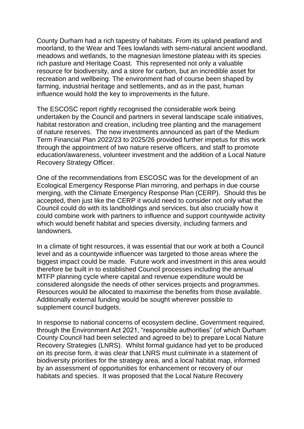County Durham had a rich tapestry of habitats. From its upland peatland and moorland, to the Wear and Tees lowlands with semi-natural ancient woodland, meadows and wetlands, to the magnesian limestone plateau with its species rich pasture and Heritage Coast. This represented not only a valuable resource for biodiversity, and a store for carbon, but an incredible asset for recreation and wellbeing. The environment had of course been shaped by farming, industrial heritage and settlements, and as in the past, human influence would hold the key to improvements in the future.

The ESCOSC report rightly recognised the considerable work being undertaken by the Council and partners in several landscape scale initiatives, habitat restoration and creation, including tree planting and the management of nature reserves. The new investments announced as part of the Medium Term Financial Plan 2022/23 to 2025/26 provided further impetus for this work through the appointment of two nature reserve officers, and staff to promote education/awareness, volunteer investment and the addition of a Local Nature Recovery Strategy Officer.

One of the recommendations from ESCOSC was for the development of an Ecological Emergency Response Plan mirroring, and perhaps in due course merging, with the Climate Emergency Response Plan (CERP). Should this be accepted, then just like the CERP it would need to consider not only what the Council could do with its landholdings and services, but also crucially how it could combine work with partners to influence and support countywide activity which would benefit habitat and species diversity, including farmers and landowners.

In a climate of tight resources, it was essential that our work at both a Council level and as a countywide influencer was targeted to those areas where the biggest impact could be made. Future work and investment in this area would therefore be built in to established Council processes including the annual MTFP planning cycle where capital and revenue expenditure would be considered alongside the needs of other services projects and programmes. Resources would be allocated to maximise the benefits from those available. Additionally external funding would be sought wherever possible to supplement council budgets.

In response to national concerns of ecosystem decline, Government required, through the Environment Act 2021, "responsible authorities" (of which Durham County Council had been selected and agreed to be) to prepare Local Nature Recovery Strategies (LNRS). Whilst formal guidance had yet to be produced on its precise form, it was clear that LNRS must culminate in a statement of biodiversity priorities for the strategy area, and a local habitat map, informed by an assessment of opportunities for enhancement or recovery of our habitats and species. It was proposed that the Local Nature Recovery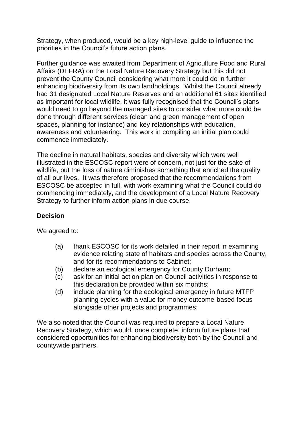Strategy, when produced, would be a key high-level guide to influence the priorities in the Council's future action plans.

Further guidance was awaited from Department of Agriculture Food and Rural Affairs (DEFRA) on the Local Nature Recovery Strategy but this did not prevent the County Council considering what more it could do in further enhancing biodiversity from its own landholdings. Whilst the Council already had 31 designated Local Nature Reserves and an additional 61 sites identified as important for local wildlife, it was fully recognised that the Council's plans would need to go beyond the managed sites to consider what more could be done through different services (clean and green management of open spaces, planning for instance) and key relationships with education, awareness and volunteering. This work in compiling an initial plan could commence immediately.

The decline in natural habitats, species and diversity which were well illustrated in the ESCOSC report were of concern, not just for the sake of wildlife, but the loss of nature diminishes something that enriched the quality of all our lives. It was therefore proposed that the recommendations from ESCOSC be accepted in full, with work examining what the Council could do commencing immediately, and the development of a Local Nature Recovery Strategy to further inform action plans in due course.

#### **Decision**

We agreed to:

- (a) thank ESCOSC for its work detailed in their report in examining evidence relating state of habitats and species across the County, and for its recommendations to Cabinet;
- (b) declare an ecological emergency for County Durham;
- (c) ask for an initial action plan on Council activities in response to this declaration be provided within six months;
- (d) include planning for the ecological emergency in future MTFP planning cycles with a value for money outcome-based focus alongside other projects and programmes;

We also noted that the Council was required to prepare a Local Nature Recovery Strategy, which would, once complete, inform future plans that considered opportunities for enhancing biodiversity both by the Council and countywide partners.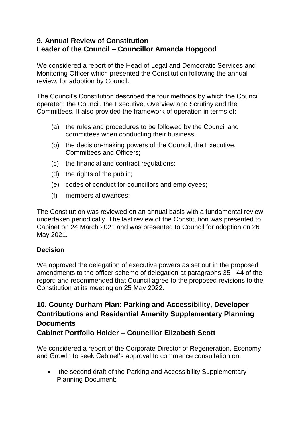## **9. Annual Review of Constitution Leader of the Council – Councillor Amanda Hopgood**

We considered a report of the Head of Legal and Democratic Services and Monitoring Officer which presented the Constitution following the annual review, for adoption by Council.

The Council's Constitution described the four methods by which the Council operated; the Council, the Executive, Overview and Scrutiny and the Committees. It also provided the framework of operation in terms of:

- (a) the rules and procedures to be followed by the Council and committees when conducting their business;
- (b) the decision-making powers of the Council, the Executive, Committees and Officers;
- (c) the financial and contract regulations;
- (d) the rights of the public;
- (e) codes of conduct for councillors and employees;
- (f) members allowances;

The Constitution was reviewed on an annual basis with a fundamental review undertaken periodically. The last review of the Constitution was presented to Cabinet on 24 March 2021 and was presented to Council for adoption on 26 May 2021.

### **Decision**

We approved the delegation of executive powers as set out in the proposed amendments to the officer scheme of delegation at paragraphs 35 - 44 of the report; and recommended that Council agree to the proposed revisions to the Constitution at its meeting on 25 May 2022.

# **10. County Durham Plan: Parking and Accessibility, Developer Contributions and Residential Amenity Supplementary Planning Documents**

**Cabinet Portfolio Holder – Councillor Elizabeth Scott**

We considered a report of the Corporate Director of Regeneration, Economy and Growth to seek Cabinet's approval to commence consultation on:

• the second draft of the Parking and Accessibility Supplementary Planning Document;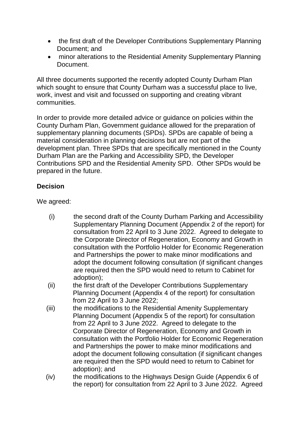- the first draft of the Developer Contributions Supplementary Planning Document; and
- minor alterations to the Residential Amenity Supplementary Planning Document.

All three documents supported the recently adopted County Durham Plan which sought to ensure that County Durham was a successful place to live. work, invest and visit and focussed on supporting and creating vibrant communities.

In order to provide more detailed advice or guidance on policies within the County Durham Plan, Government guidance allowed for the preparation of supplementary planning documents (SPDs). SPDs are capable of being a material consideration in planning decisions but are not part of the development plan. Three SPDs that are specifically mentioned in the County Durham Plan are the Parking and Accessibility SPD, the Developer Contributions SPD and the Residential Amenity SPD. Other SPDs would be prepared in the future.

#### **Decision**

We agreed:

- (i) the second draft of the County Durham Parking and Accessibility Supplementary Planning Document (Appendix 2 of the report) for consultation from 22 April to 3 June 2022. Agreed to delegate to the Corporate Director of Regeneration, Economy and Growth in consultation with the Portfolio Holder for Economic Regeneration and Partnerships the power to make minor modifications and adopt the document following consultation (if significant changes are required then the SPD would need to return to Cabinet for adoption);
- (ii) the first draft of the Developer Contributions Supplementary Planning Document (Appendix 4 of the report) for consultation from 22 April to 3 June 2022;
- (iii) the modifications to the Residential Amenity Supplementary Planning Document (Appendix 5 of the report) for consultation from 22 April to 3 June 2022. Agreed to delegate to the Corporate Director of Regeneration, Economy and Growth in consultation with the Portfolio Holder for Economic Regeneration and Partnerships the power to make minor modifications and adopt the document following consultation (if significant changes are required then the SPD would need to return to Cabinet for adoption); and
- (iv) the modifications to the Highways Design Guide (Appendix 6 of the report) for consultation from 22 April to 3 June 2022. Agreed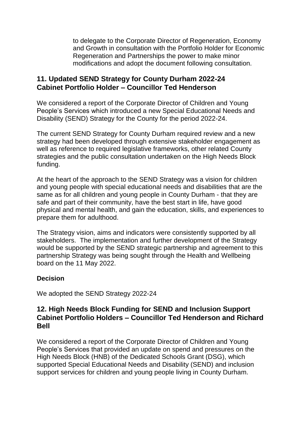to delegate to the Corporate Director of Regeneration, Economy and Growth in consultation with the Portfolio Holder for Economic Regeneration and Partnerships the power to make minor modifications and adopt the document following consultation.

### **11. Updated SEND Strategy for County Durham 2022-24 Cabinet Portfolio Holder – Councillor Ted Henderson**

We considered a report of the Corporate Director of Children and Young People's Services which introduced a new Special Educational Needs and Disability (SEND) Strategy for the County for the period 2022-24.

The current SEND Strategy for County Durham required review and a new strategy had been developed through extensive stakeholder engagement as well as reference to required legislative frameworks, other related County strategies and the public consultation undertaken on the High Needs Block funding.

At the heart of the approach to the SEND Strategy was a vision for children and young people with special educational needs and disabilities that are the same as for all children and young people in County Durham - that they are safe and part of their community, have the best start in life, have good physical and mental health, and gain the education, skills, and experiences to prepare them for adulthood.

The Strategy vision, aims and indicators were consistently supported by all stakeholders. The implementation and further development of the Strategy would be supported by the SEND strategic partnership and agreement to this partnership Strategy was being sought through the Health and Wellbeing board on the 11 May 2022.

### **Decision**

We adopted the SEND Strategy 2022-24

### **12. High Needs Block Funding for SEND and Inclusion Support Cabinet Portfolio Holders – Councillor Ted Henderson and Richard Bell**

We considered a report of the Corporate Director of Children and Young People's Services that provided an update on spend and pressures on the High Needs Block (HNB) of the Dedicated Schools Grant (DSG), which supported Special Educational Needs and Disability (SEND) and inclusion support services for children and young people living in County Durham.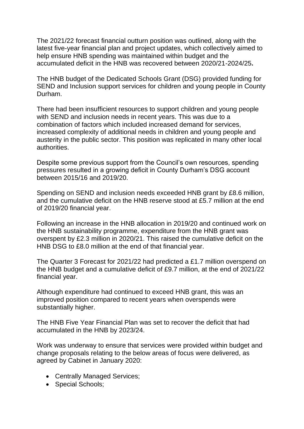The 2021/22 forecast financial outturn position was outlined, along with the latest five-year financial plan and project updates, which collectively aimed to help ensure HNB spending was maintained within budget and the accumulated deficit in the HNB was recovered between 2020/21-2024/25**.**

The HNB budget of the Dedicated Schools Grant (DSG) provided funding for SEND and Inclusion support services for children and young people in County Durham.

There had been insufficient resources to support children and young people with SEND and inclusion needs in recent years. This was due to a combination of factors which included increased demand for services, increased complexity of additional needs in children and young people and austerity in the public sector. This position was replicated in many other local authorities.

Despite some previous support from the Council's own resources, spending pressures resulted in a growing deficit in County Durham's DSG account between 2015/16 and 2019/20.

Spending on SEND and inclusion needs exceeded HNB grant by £8.6 million, and the cumulative deficit on the HNB reserve stood at £5.7 million at the end of 2019/20 financial year.

Following an increase in the HNB allocation in 2019/20 and continued work on the HNB sustainability programme, expenditure from the HNB grant was overspent by £2.3 million in 2020/21. This raised the cumulative deficit on the HNB DSG to £8.0 million at the end of that financial year.

The Quarter 3 Forecast for 2021/22 had predicted a £1.7 million overspend on the HNB budget and a cumulative deficit of £9.7 million, at the end of 2021/22 financial year.

Although expenditure had continued to exceed HNB grant, this was an improved position compared to recent years when overspends were substantially higher.

The HNB Five Year Financial Plan was set to recover the deficit that had accumulated in the HNB by 2023/24.

Work was underway to ensure that services were provided within budget and change proposals relating to the below areas of focus were delivered, as agreed by Cabinet in January 2020:

- Centrally Managed Services;
- Special Schools;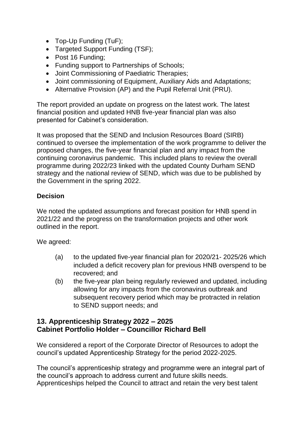- Top-Up Funding (TuF);
- Targeted Support Funding (TSF);
- Post 16 Funding;
- Funding support to Partnerships of Schools;
- Joint Commissioning of Paediatric Therapies;
- Joint commissioning of Equipment, Auxiliary Aids and Adaptations;
- Alternative Provision (AP) and the Pupil Referral Unit (PRU).

The report provided an update on progress on the latest work. The latest financial position and updated HNB five-year financial plan was also presented for Cabinet's consideration.

It was proposed that the SEND and Inclusion Resources Board (SIRB) continued to oversee the implementation of the work programme to deliver the proposed changes, the five-year financial plan and any impact from the continuing coronavirus pandemic. This included plans to review the overall programme during 2022/23 linked with the updated County Durham SEND strategy and the national review of SEND, which was due to be published by the Government in the spring 2022.

### **Decision**

We noted the updated assumptions and forecast position for HNB spend in 2021/22 and the progress on the transformation projects and other work outlined in the report.

We agreed:

- (a) to the updated five-year financial plan for 2020/21- 2025/26 which included a deficit recovery plan for previous HNB overspend to be recovered; and
- (b) the five-year plan being regularly reviewed and updated, including allowing for any impacts from the coronavirus outbreak and subsequent recovery period which may be protracted in relation to SEND support needs; and

### **13. Apprenticeship Strategy 2022 – 2025 Cabinet Portfolio Holder – Councillor Richard Bell**

We considered a report of the Corporate Director of Resources to adopt the council's updated Apprenticeship Strategy for the period 2022-2025.

The council's apprenticeship strategy and programme were an integral part of the council's approach to address current and future skills needs. Apprenticeships helped the Council to attract and retain the very best talent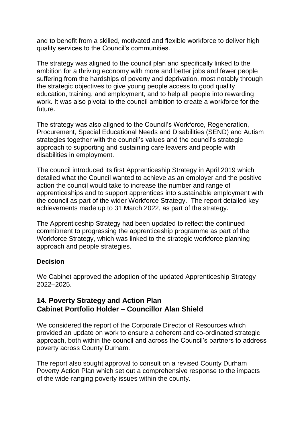and to benefit from a skilled, motivated and flexible workforce to deliver high quality services to the Council's communities.

The strategy was aligned to the council plan and specifically linked to the ambition for a thriving economy with more and better jobs and fewer people suffering from the hardships of poverty and deprivation, most notably through the strategic objectives to give young people access to good quality education, training, and employment, and to help all people into rewarding work. It was also pivotal to the council ambition to create a workforce for the future.

The strategy was also aligned to the Council's Workforce, Regeneration, Procurement, Special Educational Needs and Disabilities (SEND) and Autism strategies together with the council's values and the council's strategic approach to supporting and sustaining care leavers and people with disabilities in employment.

The council introduced its first Apprenticeship Strategy in April 2019 which detailed what the Council wanted to achieve as an employer and the positive action the council would take to increase the number and range of apprenticeships and to support apprentices into sustainable employment with the council as part of the wider Workforce Strategy. The report detailed key achievements made up to 31 March 2022, as part of the strategy.

The Apprenticeship Strategy had been updated to reflect the continued commitment to progressing the apprenticeship programme as part of the Workforce Strategy, which was linked to the strategic workforce planning approach and people strategies.

#### **Decision**

We Cabinet approved the adoption of the updated Apprenticeship Strategy 2022–2025.

### **14. Poverty Strategy and Action Plan Cabinet Portfolio Holder – Councillor Alan Shield**

We considered the report of the Corporate Director of Resources which provided an update on work to ensure a coherent and co-ordinated strategic approach, both within the council and across the Council's partners to address poverty across County Durham.

The report also sought approval to consult on a revised County Durham Poverty Action Plan which set out a comprehensive response to the impacts of the wide-ranging poverty issues within the county.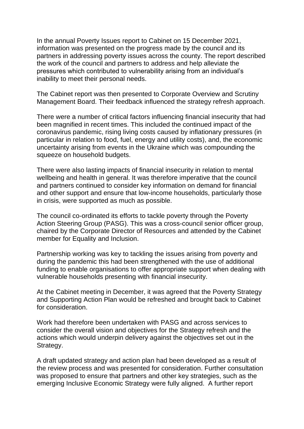In the annual Poverty Issues report to Cabinet on 15 December 2021, information was presented on the progress made by the council and its partners in addressing poverty issues across the county. The report described the work of the council and partners to address and help alleviate the pressures which contributed to vulnerability arising from an individual's inability to meet their personal needs.

The Cabinet report was then presented to Corporate Overview and Scrutiny Management Board. Their feedback influenced the strategy refresh approach.

There were a number of critical factors influencing financial insecurity that had been magnified in recent times. This included the continued impact of the coronavirus pandemic, rising living costs caused by inflationary pressures (in particular in relation to food, fuel, energy and utility costs), and, the economic uncertainty arising from events in the Ukraine which was compounding the squeeze on household budgets.

There were also lasting impacts of financial insecurity in relation to mental wellbeing and health in general. It was therefore imperative that the council and partners continued to consider key information on demand for financial and other support and ensure that low-income households, particularly those in crisis, were supported as much as possible.

The council co-ordinated its efforts to tackle poverty through the Poverty Action Steering Group (PASG). This was a cross-council senior officer group, chaired by the Corporate Director of Resources and attended by the Cabinet member for Equality and Inclusion.

Partnership working was key to tackling the issues arising from poverty and during the pandemic this had been strengthened with the use of additional funding to enable organisations to offer appropriate support when dealing with vulnerable households presenting with financial insecurity.

At the Cabinet meeting in December, it was agreed that the Poverty Strategy and Supporting Action Plan would be refreshed and brought back to Cabinet for consideration.

Work had therefore been undertaken with PASG and across services to consider the overall vision and objectives for the Strategy refresh and the actions which would underpin delivery against the objectives set out in the Strategy.

A draft updated strategy and action plan had been developed as a result of the review process and was presented for consideration. Further consultation was proposed to ensure that partners and other key strategies, such as the emerging Inclusive Economic Strategy were fully aligned. A further report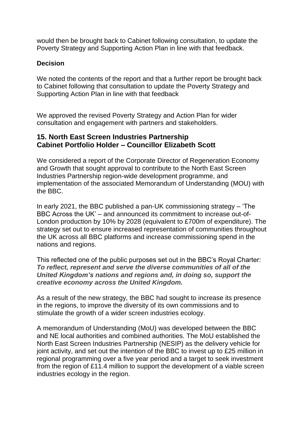would then be brought back to Cabinet following consultation, to update the Poverty Strategy and Supporting Action Plan in line with that feedback.

#### **Decision**

We noted the contents of the report and that a further report be brought back to Cabinet following that consultation to update the Poverty Strategy and Supporting Action Plan in line with that feedback

We approved the revised Poverty Strategy and Action Plan for wider consultation and engagement with partners and stakeholders.

### **15. North East Screen Industries Partnership Cabinet Portfolio Holder – Councillor Elizabeth Scott**

We considered a report of the Corporate Director of Regeneration Economy and Growth that sought approval to contribute to the North East Screen Industries Partnership region-wide development programme, and implementation of the associated Memorandum of Understanding (MOU) with the BBC.

In early 2021, the BBC published a pan-UK commissioning strategy – 'The BBC Across the UK' – and announced its commitment to increase out-of-London production by 10% by 2028 (equivalent to £700m of expenditure). The strategy set out to ensure increased representation of communities throughout the UK across all BBC platforms and increase commissioning spend in the nations and regions.

This reflected one of the public purposes set out in the BBC's Royal Charter: *To reflect, represent and serve the diverse communities of all of the United Kingdom's nations and regions and, in doing so, support the creative economy across the United Kingdom.*

As a result of the new strategy, the BBC had sought to increase its presence in the regions, to improve the diversity of its own commissions and to stimulate the growth of a wider screen industries ecology.

A memorandum of Understanding (MoU) was developed between the BBC and NE local authorities and combined authorities. The MoU established the North East Screen Industries Partnership (NESIP) as the delivery vehicle for joint activity, and set out the intention of the BBC to invest up to £25 million in regional programming over a five year period and a target to seek investment from the region of £11.4 million to support the development of a viable screen industries ecology in the region.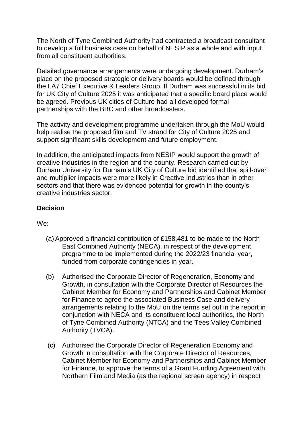The North of Tyne Combined Authority had contracted a broadcast consultant to develop a full business case on behalf of NESIP as a whole and with input from all constituent authorities.

Detailed governance arrangements were undergoing development. Durham's place on the proposed strategic or delivery boards would be defined through the LA7 Chief Executive & Leaders Group. If Durham was successful in its bid for UK City of Culture 2025 it was anticipated that a specific board place would be agreed. Previous UK cities of Culture had all developed formal partnerships with the BBC and other broadcasters.

The activity and development programme undertaken through the MoU would help realise the proposed film and TV strand for City of Culture 2025 and support significant skills development and future employment.

In addition, the anticipated impacts from NESIP would support the growth of creative industries in the region and the county. Research carried out by Durham University for Durham's UK City of Culture bid identified that spill-over and multiplier impacts were more likely in Creative Industries than in other sectors and that there was evidenced potential for growth in the county's creative industries sector.

#### **Decision**

#### We:

- (a)Approved a financial contribution of £158,481 to be made to the North East Combined Authority (NECA), in respect of the development programme to be implemented during the 2022/23 financial year, funded from corporate contingencies in year.
- (b) Authorised the Corporate Director of Regeneration, Economy and Growth, in consultation with the Corporate Director of Resources the Cabinet Member for Economy and Partnerships and Cabinet Member for Finance to agree the associated Business Case and delivery arrangements relating to the MoU on the terms set out in the report in conjunction with NECA and its constituent local authorities, the North of Tyne Combined Authority (NTCA) and the Tees Valley Combined Authority (TVCA).
- (c) Authorised the Corporate Director of Regeneration Economy and Growth in consultation with the Corporate Director of Resources, Cabinet Member for Economy and Partnerships and Cabinet Member for Finance, to approve the terms of a Grant Funding Agreement with Northern Film and Media (as the regional screen agency) in respect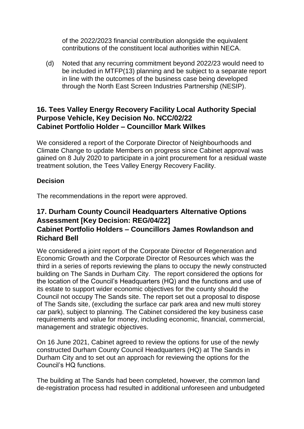of the 2022/2023 financial contribution alongside the equivalent contributions of the constituent local authorities within NECA.

(d) Noted that any recurring commitment beyond 2022/23 would need to be included in MTFP(13) planning and be subject to a separate report in line with the outcomes of the business case being developed through the North East Screen Industries Partnership (NESIP).

## **16. Tees Valley Energy Recovery Facility Local Authority Special Purpose Vehicle, Key Decision No. NCC/02/22 Cabinet Portfolio Holder – Councillor Mark Wilkes**

We considered a report of the Corporate Director of Neighbourhoods and Climate Change to update Members on progress since Cabinet approval was gained on 8 July 2020 to participate in a joint procurement for a residual waste treatment solution, the Tees Valley Energy Recovery Facility.

### **Decision**

The recommendations in the report were approved.

## **17. Durham County Council Headquarters Alternative Options Assessment [Key Decision: REG/04/22] Cabinet Portfolio Holders – Councillors James Rowlandson and Richard Bell**

We considered a joint report of the Corporate Director of Regeneration and Economic Growth and the Corporate Director of Resources which was the third in a series of reports reviewing the plans to occupy the newly constructed building on The Sands in Durham City. The report considered the options for the location of the Council's Headquarters (HQ) and the functions and use of its estate to support wider economic objectives for the county should the Council not occupy The Sands site. The report set out a proposal to dispose of The Sands site, (excluding the surface car park area and new multi storey car park), subject to planning. The Cabinet considered the key business case requirements and value for money, including economic, financial, commercial, management and strategic objectives.

On 16 June 2021, Cabinet agreed to review the options for use of the newly constructed Durham County Council Headquarters (HQ) at The Sands in Durham City and to set out an approach for reviewing the options for the Council's HQ functions.

The building at The Sands had been completed, however, the common land de-registration process had resulted in additional unforeseen and unbudgeted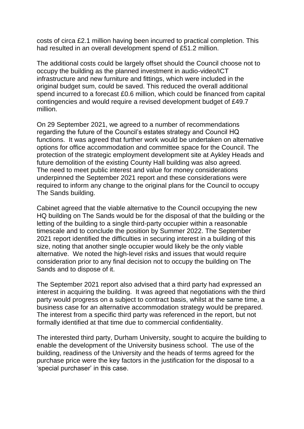costs of circa £2.1 million having been incurred to practical completion. This had resulted in an overall development spend of £51.2 million.

The additional costs could be largely offset should the Council choose not to occupy the building as the planned investment in audio-video/ICT infrastructure and new furniture and fittings, which were included in the original budget sum, could be saved. This reduced the overall additional spend incurred to a forecast £0.6 million, which could be financed from capital contingencies and would require a revised development budget of £49.7 million.

On 29 September 2021, we agreed to a number of recommendations regarding the future of the Council's estates strategy and Council HQ functions. It was agreed that further work would be undertaken on alternative options for office accommodation and committee space for the Council. The protection of the strategic employment development site at Aykley Heads and future demolition of the existing County Hall building was also agreed. The need to meet public interest and value for money considerations underpinned the September 2021 report and these considerations were required to inform any change to the original plans for the Council to occupy The Sands building.

Cabinet agreed that the viable alternative to the Council occupying the new HQ building on The Sands would be for the disposal of that the building or the letting of the building to a single third-party occupier within a reasonable timescale and to conclude the position by Summer 2022. The September 2021 report identified the difficulties in securing interest in a building of this size, noting that another single occupier would likely be the only viable alternative. We noted the high-level risks and issues that would require consideration prior to any final decision not to occupy the building on The Sands and to dispose of it.

The September 2021 report also advised that a third party had expressed an interest in acquiring the building. It was agreed that negotiations with the third party would progress on a subject to contract basis, whilst at the same time, a business case for an alternative accommodation strategy would be prepared. The interest from a specific third party was referenced in the report, but not formally identified at that time due to commercial confidentiality.

The interested third party, Durham University, sought to acquire the building to enable the development of the University business school. The use of the building, readiness of the University and the heads of terms agreed for the purchase price were the key factors in the justification for the disposal to a 'special purchaser' in this case.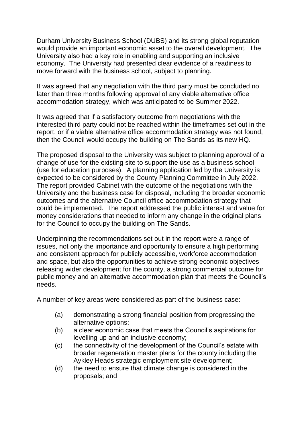Durham University Business School (DUBS) and its strong global reputation would provide an important economic asset to the overall development. The University also had a key role in enabling and supporting an inclusive economy. The University had presented clear evidence of a readiness to move forward with the business school, subject to planning.

It was agreed that any negotiation with the third party must be concluded no later than three months following approval of any viable alternative office accommodation strategy, which was anticipated to be Summer 2022.

It was agreed that if a satisfactory outcome from negotiations with the interested third party could not be reached within the timeframes set out in the report, or if a viable alternative office accommodation strategy was not found, then the Council would occupy the building on The Sands as its new HQ.

The proposed disposal to the University was subject to planning approval of a change of use for the existing site to support the use as a business school (use for education purposes). A planning application led by the University is expected to be considered by the County Planning Committee in July 2022. The report provided Cabinet with the outcome of the negotiations with the University and the business case for disposal, including the broader economic outcomes and the alternative Council office accommodation strategy that could be implemented. The report addressed the public interest and value for money considerations that needed to inform any change in the original plans for the Council to occupy the building on The Sands.

Underpinning the recommendations set out in the report were a range of issues, not only the importance and opportunity to ensure a high performing and consistent approach for publicly accessible, workforce accommodation and space, but also the opportunities to achieve strong economic objectives releasing wider development for the county, a strong commercial outcome for public money and an alternative accommodation plan that meets the Council's needs.

A number of key areas were considered as part of the business case:

- (a) demonstrating a strong financial position from progressing the alternative options;
- (b) a clear economic case that meets the Council's aspirations for levelling up and an inclusive economy;
- (c) the connectivity of the development of the Council's estate with broader regeneration master plans for the county including the Aykley Heads strategic employment site development;
- (d) the need to ensure that climate change is considered in the proposals; and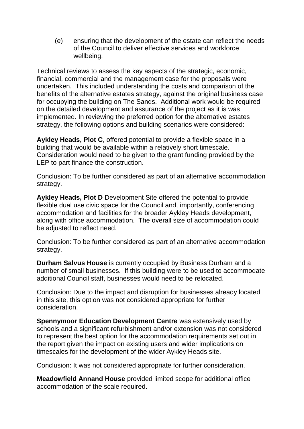(e) ensuring that the development of the estate can reflect the needs of the Council to deliver effective services and workforce wellbeing.

Technical reviews to assess the key aspects of the strategic, economic, financial, commercial and the management case for the proposals were undertaken. This included understanding the costs and comparison of the benefits of the alternative estates strategy, against the original business case for occupying the building on The Sands. Additional work would be required on the detailed development and assurance of the project as it is was implemented. In reviewing the preferred option for the alternative estates strategy, the following options and building scenarios were considered:

**Aykley Heads, Plot C**, offered potential to provide a flexible space in a building that would be available within a relatively short timescale. Consideration would need to be given to the grant funding provided by the LEP to part finance the construction.

Conclusion: To be further considered as part of an alternative accommodation strategy.

**Aykley Heads, Plot D** Development Site offered the potential to provide flexible dual use civic space for the Council and, importantly, conferencing accommodation and facilities for the broader Aykley Heads development, along with office accommodation. The overall size of accommodation could be adjusted to reflect need.

Conclusion: To be further considered as part of an alternative accommodation strategy.

**Durham Salvus House** is currently occupied by Business Durham and a number of small businesses. If this building were to be used to accommodate additional Council staff, businesses would need to be relocated.

Conclusion: Due to the impact and disruption for businesses already located in this site, this option was not considered appropriate for further consideration.

**Spennymoor Education Development Centre** was extensively used by schools and a significant refurbishment and/or extension was not considered to represent the best option for the accommodation requirements set out in the report given the impact on existing users and wider implications on timescales for the development of the wider Aykley Heads site.

Conclusion: It was not considered appropriate for further consideration.

**Meadowfield Annand House** provided limited scope for additional office accommodation of the scale required.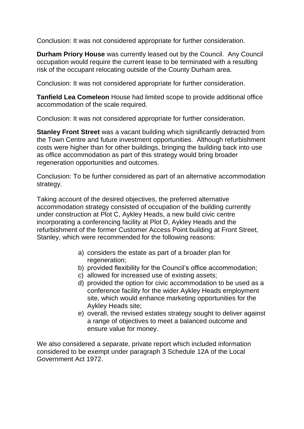Conclusion: It was not considered appropriate for further consideration.

**Durham Priory House** was currently leased out by the Council. Any Council occupation would require the current lease to be terminated with a resulting risk of the occupant relocating outside of the County Durham area.

Conclusion: It was not considered appropriate for further consideration.

**Tanfield Lea Comeleon** House had limited scope to provide additional office accommodation of the scale required.

Conclusion: It was not considered appropriate for further consideration.

**Stanley Front Street** was a vacant building which significantly detracted from the Town Centre and future investment opportunities. Although refurbishment costs were higher than for other buildings, bringing the building back into use as office accommodation as part of this strategy would bring broader regeneration opportunities and outcomes.

Conclusion: To be further considered as part of an alternative accommodation strategy.

Taking account of the desired objectives, the preferred alternative accommodation strategy consisted of occupation of the building currently under construction at Plot C, Aykley Heads, a new build civic centre incorporating a conferencing facility at Plot D, Aykley Heads and the refurbishment of the former Customer Access Point building at Front Street, Stanley, which were recommended for the following reasons:

- a) considers the estate as part of a broader plan for regeneration:
- b) provided flexibility for the Council's office accommodation;
- c) allowed for increased use of existing assets;
- d) provided the option for civic accommodation to be used as a conference facility for the wider Aykley Heads employment site, which would enhance marketing opportunities for the Aykley Heads site;
- e) overall, the revised estates strategy sought to deliver against a range of objectives to meet a balanced outcome and ensure value for money.

We also considered a separate, private report which included information considered to be exempt under paragraph 3 Schedule 12A of the Local Government Act 1972.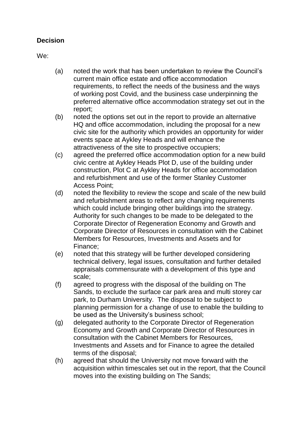### **Decision**

We:

- (a) noted the work that has been undertaken to review the Council's current main office estate and office accommodation requirements, to reflect the needs of the business and the ways of working post Covid, and the business case underpinning the preferred alternative office accommodation strategy set out in the report;
- (b) noted the options set out in the report to provide an alternative HQ and office accommodation, including the proposal for a new civic site for the authority which provides an opportunity for wider events space at Aykley Heads and will enhance the attractiveness of the site to prospective occupiers;
- (c) agreed the preferred office accommodation option for a new build civic centre at Aykley Heads Plot D, use of the building under construction, Plot C at Aykley Heads for office accommodation and refurbishment and use of the former Stanley Customer Access Point;
- (d) noted the flexibility to review the scope and scale of the new build and refurbishment areas to reflect any changing requirements which could include bringing other buildings into the strategy. Authority for such changes to be made to be delegated to the Corporate Director of Regeneration Economy and Growth and Corporate Director of Resources in consultation with the Cabinet Members for Resources, Investments and Assets and for Finance;
- (e) noted that this strategy will be further developed considering technical delivery, legal issues, consultation and further detailed appraisals commensurate with a development of this type and scale;
- (f) agreed to progress with the disposal of the building on The Sands, to exclude the surface car park area and multi storey car park, to Durham University. The disposal to be subject to planning permission for a change of use to enable the building to be used as the University's business school;
- (g) delegated authority to the Corporate Director of Regeneration Economy and Growth and Corporate Director of Resources in consultation with the Cabinet Members for Resources, Investments and Assets and for Finance to agree the detailed terms of the disposal;
- (h) agreed that should the University not move forward with the acquisition within timescales set out in the report, that the Council moves into the existing building on The Sands;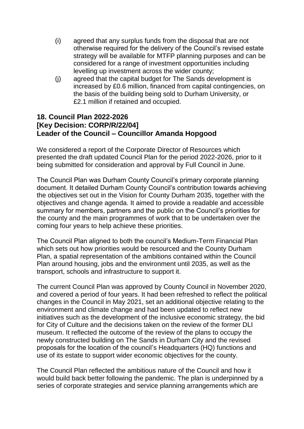- (i) agreed that any surplus funds from the disposal that are not otherwise required for the delivery of the Council's revised estate strategy will be available for MTFP planning purposes and can be considered for a range of investment opportunities including levelling up investment across the wider county;
- (j) agreed that the capital budget for The Sands development is increased by £0.6 million, financed from capital contingencies, on the basis of the building being sold to Durham University, or £2.1 million if retained and occupied.

### **18. Council Plan 2022-2026 [Key Decision: CORP/R/22/04] Leader of the Council – Councillor Amanda Hopgood**

We considered a report of the Corporate Director of Resources which presented the draft updated Council Plan for the period 2022-2026, prior to it being submitted for consideration and approval by Full Council in June.

The Council Plan was Durham County Council's primary corporate planning document. It detailed Durham County Council's contribution towards achieving the objectives set out in the Vision for County Durham 2035, together with the objectives and change agenda. It aimed to provide a readable and accessible summary for members, partners and the public on the Council's priorities for the county and the main programmes of work that to be undertaken over the coming four years to help achieve these priorities.

The Council Plan aligned to both the council's Medium-Term Financial Plan which sets out how priorities would be resourced and the County Durham Plan, a spatial representation of the ambitions contained within the Council Plan around housing, jobs and the environment until 2035, as well as the transport, schools and infrastructure to support it.

The current Council Plan was approved by County Council in November 2020, and covered a period of four years. It had been refreshed to reflect the political changes in the Council in May 2021, set an additional objective relating to the environment and climate change and had been updated to reflect new initiatives such as the development of the inclusive economic strategy, the bid for City of Culture and the decisions taken on the review of the former DLI museum. It reflected the outcome of the review of the plans to occupy the newly constructed building on The Sands in Durham City and the revised proposals for the location of the council's Headquarters (HQ) functions and use of its estate to support wider economic objectives for the county.

The Council Plan reflected the ambitious nature of the Council and how it would build back better following the pandemic. The plan is underpinned by a series of corporate strategies and service planning arrangements which are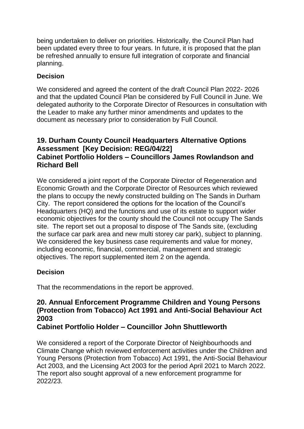being undertaken to deliver on priorities. Historically, the Council Plan had been updated every three to four years. In future, it is proposed that the plan be refreshed annually to ensure full integration of corporate and financial planning.

### **Decision**

We considered and agreed the content of the draft Council Plan 2022- 2026 and that the updated Council Plan be considered by Full Council in June. We delegated authority to the Corporate Director of Resources in consultation with the Leader to make any further minor amendments and updates to the document as necessary prior to consideration by Full Council.

### **19. Durham County Council Headquarters Alternative Options Assessment [Key Decision: REG/04/22] Cabinet Portfolio Holders – Councillors James Rowlandson and Richard Bell**

We considered a joint report of the Corporate Director of Regeneration and Economic Growth and the Corporate Director of Resources which reviewed the plans to occupy the newly constructed building on The Sands in Durham City. The report considered the options for the location of the Council's Headquarters (HQ) and the functions and use of its estate to support wider economic objectives for the county should the Council not occupy The Sands site. The report set out a proposal to dispose of The Sands site, (excluding the surface car park area and new multi storey car park), subject to planning. We considered the key business case requirements and value for money, including economic, financial, commercial, management and strategic objectives. The report supplemented item 2 on the agenda.

### **Decision**

That the recommendations in the report be approved.

## **20. Annual Enforcement Programme Children and Young Persons (Protection from Tobacco) Act 1991 and Anti-Social Behaviour Act 2003**

## **Cabinet Portfolio Holder – Councillor John Shuttleworth**

We considered a report of the Corporate Director of Neighbourhoods and Climate Change which reviewed enforcement activities under the Children and Young Persons (Protection from Tobacco) Act 1991, the Anti-Social Behaviour Act 2003, and the Licensing Act 2003 for the period April 2021 to March 2022. The report also sought approval of a new enforcement programme for 2022/23.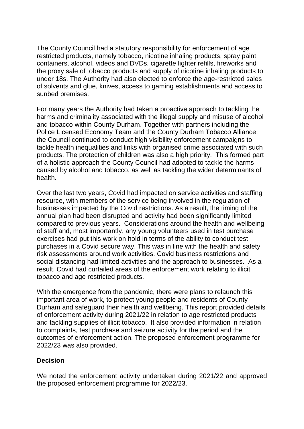The County Council had a statutory responsibility for enforcement of age restricted products, namely tobacco, nicotine inhaling products, spray paint containers, alcohol, videos and DVDs, cigarette lighter refills, fireworks and the proxy sale of tobacco products and supply of nicotine inhaling products to under 18s. The Authority had also elected to enforce the age-restricted sales of solvents and glue, knives, access to gaming establishments and access to sunbed premises.

For many years the Authority had taken a proactive approach to tackling the harms and criminality associated with the illegal supply and misuse of alcohol and tobacco within County Durham. Together with partners including the Police Licensed Economy Team and the County Durham Tobacco Alliance, the Council continued to conduct high visibility enforcement campaigns to tackle health inequalities and links with organised crime associated with such products. The protection of children was also a high priority. This formed part of a holistic approach the County Council had adopted to tackle the harms caused by alcohol and tobacco, as well as tackling the wider determinants of health.

Over the last two years, Covid had impacted on service activities and staffing resource, with members of the service being involved in the regulation of businesses impacted by the Covid restrictions. As a result, the timing of the annual plan had been disrupted and activity had been significantly limited compared to previous years. Considerations around the health and wellbeing of staff and, most importantly, any young volunteers used in test purchase exercises had put this work on hold in terms of the ability to conduct test purchases in a Covid secure way. This was in line with the health and safety risk assessments around work activities. Covid business restrictions and social distancing had limited activities and the approach to businesses. As a result, Covid had curtailed areas of the enforcement work relating to illicit tobacco and age restricted products.

With the emergence from the pandemic, there were plans to relaunch this important area of work, to protect young people and residents of County Durham and safeguard their health and wellbeing. This report provided details of enforcement activity during 2021/22 in relation to age restricted products and tackling supplies of illicit tobacco. It also provided information in relation to complaints, test purchase and seizure activity for the period and the outcomes of enforcement action. The proposed enforcement programme for 2022/23 was also provided.

#### **Decision**

We noted the enforcement activity undertaken during 2021/22 and approved the proposed enforcement programme for 2022/23.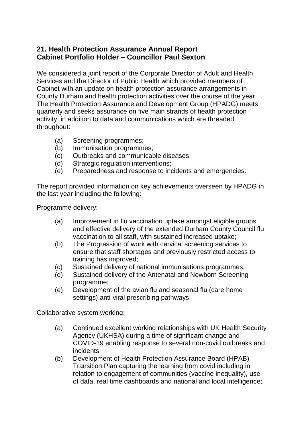### **21. Health Protection Assurance Annual Report Cabinet Portfolio Holder – Councillor Paul Sexton**

We considered a joint report of the Corporate Director of Adult and Health Services and the Director of Public Health which provided members of Cabinet with an update on health protection assurance arrangements in County Durham and health protection activities over the course of the year. The Health Protection Assurance and Development Group (HPADG) meets quarterly and seeks assurance on five main strands of health protection activity, in addition to data and communications which are threaded throughout:

- (a) Screening programmes;
- (b) Immunisation programmes;
- (c) Outbreaks and communicable diseases;
- (d) Strategic regulation interventions;
- (e) Preparedness and response to incidents and emergencies.

The report provided information on key achievements overseen by HPADG in the last year including the following:

Programme delivery:

- (a) Improvement in flu vaccination uptake amongst eligible groups and effective delivery of the extended Durham County Council flu vaccination to all staff, with sustained increased uptake;
- (b) The Progression of work with cervical screening services to ensure that staff shortages and previously restricted access to training has improved;
- (c) Sustained delivery of national immunisations programmes;
- (d) Sustained delivery of the Antenatal and Newborn Screening programme;
- (e) Development of the avian flu and seasonal flu (care home settings) anti-viral prescribing pathways.

Collaborative system working:

- (a) Continued excellent working relationships with UK Health Security Agency (UKHSA) during a time of significant change and COVID-19 enabling response to several non-covid outbreaks and incidents;
- (b) Development of Health Protection Assurance Board (HPAB) Transition Plan capturing the learning from covid including in relation to engagement of communities (vaccine inequality), use of data, real time dashboards and national and local intelligence;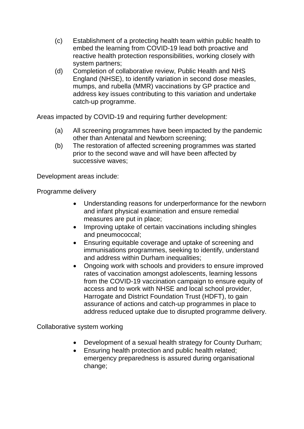- (c) Establishment of a protecting health team within public health to embed the learning from COVID-19 lead both proactive and reactive health protection responsibilities, working closely with system partners;
- (d) Completion of collaborative review, Public Health and NHS England (NHSE), to identify variation in second dose measles, mumps, and rubella (MMR) vaccinations by GP practice and address key issues contributing to this variation and undertake catch-up programme.

Areas impacted by COVID-19 and requiring further development:

- (a) All screening programmes have been impacted by the pandemic other than Antenatal and Newborn screening;
- (b) The restoration of affected screening programmes was started prior to the second wave and will have been affected by successive waves;

Development areas include:

Programme delivery

- Understanding reasons for underperformance for the newborn and infant physical examination and ensure remedial measures are put in place;
- Improving uptake of certain vaccinations including shingles and pneumococcal;
- Ensuring equitable coverage and uptake of screening and immunisations programmes, seeking to identify, understand and address within Durham inequalities;
- Ongoing work with schools and providers to ensure improved rates of vaccination amongst adolescents, learning lessons from the COVID-19 vaccination campaign to ensure equity of access and to work with NHSE and local school provider, Harrogate and District Foundation Trust (HDFT), to gain assurance of actions and catch-up programmes in place to address reduced uptake due to disrupted programme delivery.

Collaborative system working

- Development of a sexual health strategy for County Durham;
- Ensuring health protection and public health related; emergency preparedness is assured during organisational change;